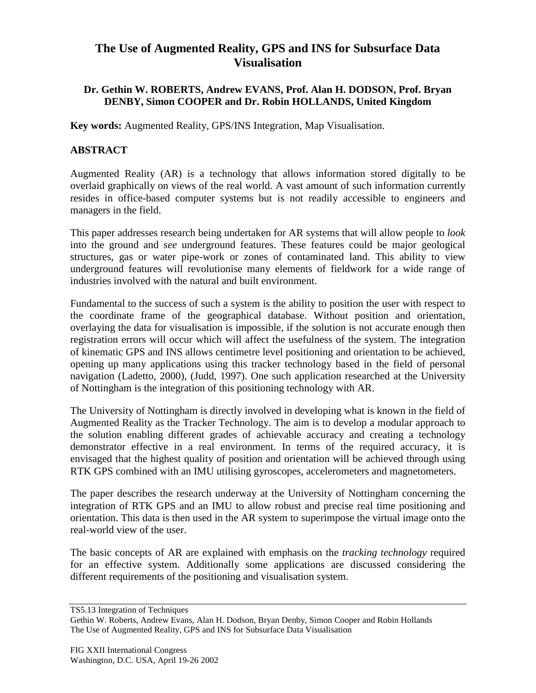## **The Use of Augmented Reality, GPS and INS for Subsurface Data Visualisation**

## **Dr. Gethin W. ROBERTS, Andrew EVANS, Prof. Alan H. DODSON, Prof. Bryan DENBY, Simon COOPER and Dr. Robin HOLLANDS, United Kingdom**

**Key words:** Augmented Reality, GPS/INS Integration, Map Visualisation.

## **ABSTRACT**

Augmented Reality (AR) is a technology that allows information stored digitally to be overlaid graphically on views of the real world. A vast amount of such information currently resides in office-based computer systems but is not readily accessible to engineers and managers in the field.

This paper addresses research being undertaken for AR systems that will allow people to *look* into the ground and *see* underground features. These features could be major geological structures, gas or water pipe-work or zones of contaminated land. This ability to view underground features will revolutionise many elements of fieldwork for a wide range of industries involved with the natural and built environment.

Fundamental to the success of such a system is the ability to position the user with respect to the coordinate frame of the geographical database. Without position and orientation, overlaying the data for visualisation is impossible, if the solution is not accurate enough then registration errors will occur which will affect the usefulness of the system. The integration of kinematic GPS and INS allows centimetre level positioning and orientation to be achieved, opening up many applications using this tracker technology based in the field of personal navigation (Ladetto, 2000), (Judd, 1997). One such application researched at the University of Nottingham is the integration of this positioning technology with AR.

The University of Nottingham is directly involved in developing what is known in the field of Augmented Reality as the Tracker Technology. The aim is to develop a modular approach to the solution enabling different grades of achievable accuracy and creating a technology demonstrator effective in a real environment. In terms of the required accuracy, it is envisaged that the highest quality of position and orientation will be achieved through using RTK GPS combined with an IMU utilising gyroscopes, accelerometers and magnetometers.

The paper describes the research underway at the University of Nottingham concerning the integration of RTK GPS and an IMU to allow robust and precise real time positioning and orientation. This data is then used in the AR system to superimpose the virtual image onto the real-world view of the user.

The basic concepts of AR are explained with emphasis on the *tracking technology* required for an effective system. Additionally some applications are discussed considering the different requirements of the positioning and visualisation system.

TS5.13 Integration of Techniques

Gethin W. Roberts, Andrew Evans, Alan H. Dodson, Bryan Denby, Simon Cooper and Robin Hollands The Use of Augmented Reality, GPS and INS for Subsurface Data Visualisation